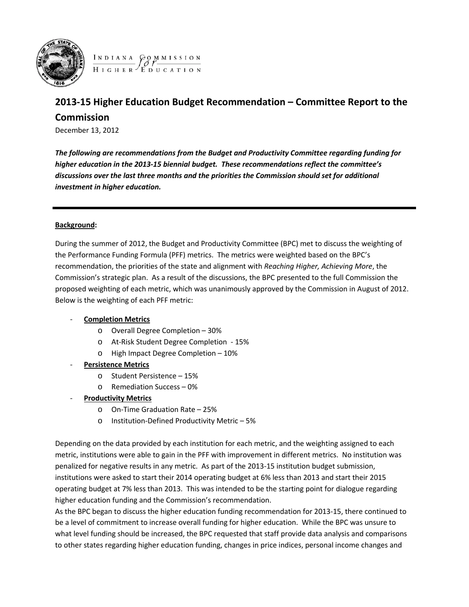

# $\frac{I N D I A N A}{H I G H E R} \underbrace{\mathcal{F} O M M I S S I O N}_{E D U C A T I O N}$

## **2013-15 Higher Education Budget Recommendation – Committee Report to the Commission**

December 13, 2012

*The following are recommendations from the Budget and Productivity Committee regarding funding for higher education in the 2013-15 biennial budget. These recommendations reflect the committee's discussions over the last three months and the priorities the Commission should set for additional investment in higher education.*

## **Background :**

During the summer of 2012, the Budget and Productivity Committee (BPC) met to discuss the weighting of the Performance Funding Formula (PFF) metrics. The metrics were weighted based on the BPC's recommendation, the priorities of the state and alignment with *Reaching Higher, Achieving More*, the Commission's strategic plan. As a result of the discussions, the BPC presented to the full Commission the proposed weighting of each metric, which was unanimously approved by the Commission in August of 2012. Below is the weighting of each PFF metric:

#### - **Completion Metrics**

- o Overall Degree Completion 30%
- o At-Risk Student Degree Completion 15%
- o High Impact Degree Completion 10%
- **Persistence Metrics**
	- o Student Persistence 15%
	- o Remediation Success 0%
- **Productivity Metrics**
	- o On-Time Graduation Rate 25%
	- o Institution-Defined Productivity Metric 5%

Depending on the data provided by each institution for each metric, and the weighting assigned to each metric, institutions were able to gain in the PFF with improvement in different metrics. No institution was penalized for negative results in any metric. As part of the 2013-15 institution budget submission, institutions were asked to start their 2014 operating budget at 6% less than 2013 and start their 2015 operating budget at 7% less than 2013. This was intended to be the starting point for dialogue regarding higher education funding and the Commission's recommendation.

As the BPC began to discuss the higher education funding recommendation for 2013-15, there continued to be a level of commitment to increase overall funding for higher education. While the BPC was unsure to what level funding should be increased, the BPC requested that staff provide data analysis and comparisons to other states regarding higher education funding, changes in price indices, personal income changes and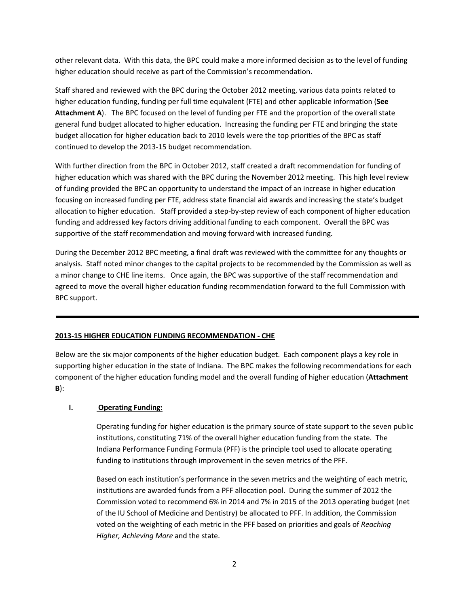other relevant data. With this data, the BPC could make a more informed decision as to the level of funding higher education should receive as part of the Commission's recommendation.

Staff shared and reviewed with the BPC during the October 2012 meeting, various data points related to higher education funding, funding per full time equivalent (FTE) and other applicable information (**See Attachment A**). The BPC focused on the level of funding per FTE and the proportion of the overall state general fund budget allocated to higher education. Increasing the funding per FTE and bringing the state budget allocation for higher education back to 2010 levels were the top priorities of the BPC as staff continued to develop the 2013-15 budget recommendation.

With further direction from the BPC in October 2012, staff created a draft recommendation for funding of higher education which was shared with the BPC during the November 2012 meeting. This high level review of funding provided the BPC an opportunity to understand the impact of an increase in higher education focusing on increased funding per FTE, address state financial aid awards and increasing the state's budget allocation to higher education. Staff provided a step-by-step review of each component of higher education funding and addressed key factors driving additional funding to each component. Overall the BPC was supportive of the staff recommendation and moving forward with increased funding.

During the December 2012 BPC meeting, a final draft was reviewed with the committee for any thoughts or analysis. Staff noted minor changes to the capital projects to be recommended by the Commission as well as a minor change to CHE line items. Once again, the BPC was supportive of the staff recommendation and agreed to move the overall higher education funding recommendation forward to the full Commission with BPC support.

## **2013-15 HIGHER EDUCATION FUNDING RECOMMENDATION - CHE**

Below are the six major components of the higher education budget. Each component plays a key role in supporting higher education in the state of Indiana. The BPC makes the following recommendations for each component of the higher education funding model and the overall funding of higher education (**Attachment B**):

#### **I. Operating Funding:**

Operating funding for higher education is the primary source of state support to the seven public institutions, constituting 71% of the overall higher education funding from the state. The Indiana Performance Funding Formula (PFF) is the principle tool used to allocate operating funding to institutions through improvement in the seven metrics of the PFF.

Based on each institution's performance in the seven metrics and the weighting of each metric, institutions are awarded funds from a PFF allocation pool. During the summer of 2012 the Commission voted to recommend 6% in 2014 and 7% in 2015 of the 2013 operating budget (net of the IU School of Medicine and Dentistry) be allocated to PFF. In addition, the Commission voted on the weighting of each metric in the PFF based on priorities and goals of *Reaching Higher, Achieving More* and the state.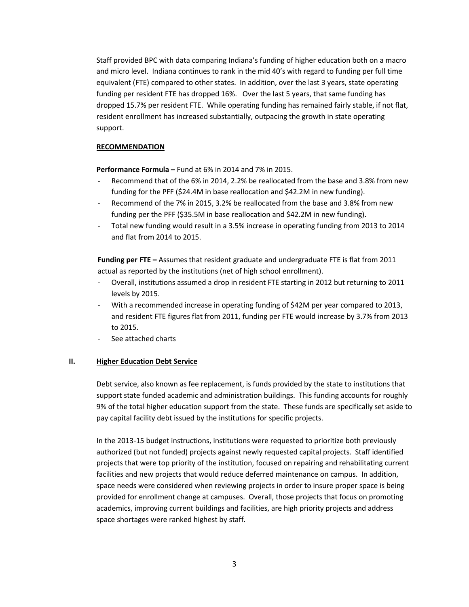Staff provided BPC with data comparing Indiana's funding of higher education both on a macro and micro level. Indiana continues to rank in the mid 40's with regard to funding per full time equivalent (FTE) compared to other states. In addition, over the last 3 years, state operating funding per resident FTE has dropped 16%. Over the last 5 years, that same funding has dropped 15.7% per resident FTE. While operating funding has remained fairly stable, if not flat, resident enrollment has increased substantially, outpacing the growth in state operating support.

#### **RECOMMENDATION**

**Performance Formula –** Fund at 6% in 2014 and 7% in 2015.

- Recommend that of the 6% in 2014, 2.2% be reallocated from the base and 3.8% from new funding for the PFF (\$24.4M in base reallocation and \$42.2M in new funding).
- Recommend of the 7% in 2015, 3.2% be reallocated from the base and 3.8% from new funding per the PFF (\$35.5M in base reallocation and \$42.2M in new funding).
- Total new funding would result in a 3.5% increase in operating funding from 2013 to 2014 and flat from 2014 to 2015.

**Funding per FTE –** Assumes that resident graduate and undergraduate FTE is flat from 2011 actual as reported by the institutions (net of high school enrollment).

- Overall, institutions assumed a drop in resident FTE starting in 2012 but returning to 2011 levels by 2015.
- With a recommended increase in operating funding of \$42M per year compared to 2013, and resident FTE figures flat from 2011, funding per FTE would increase by 3.7% from 2013 to 2015.
- See attached charts

#### **II. Higher Education Debt Service**

Debt service, also known as fee replacement, is funds provided by the state to institutions that support state funded academic and administration buildings. This funding accounts for roughly 9% of the total higher education support from the state. These funds are specifically set aside to pay capital facility debt issued by the institutions for specific projects.

In the 2013-15 budget instructions, institutions were requested to prioritize both previously authorized (but not funded) projects against newly requested capital projects. Staff identified projects that were top priority of the institution, focused on repairing and rehabilitating current facilities and new projects that would reduce deferred maintenance on campus. In addition, space needs were considered when reviewing projects in order to insure proper space is being provided for enrollment change at campuses. Overall, those projects that focus on promoting academics, improving current buildings and facilities, are high priority projects and address space shortages were ranked highest by staff.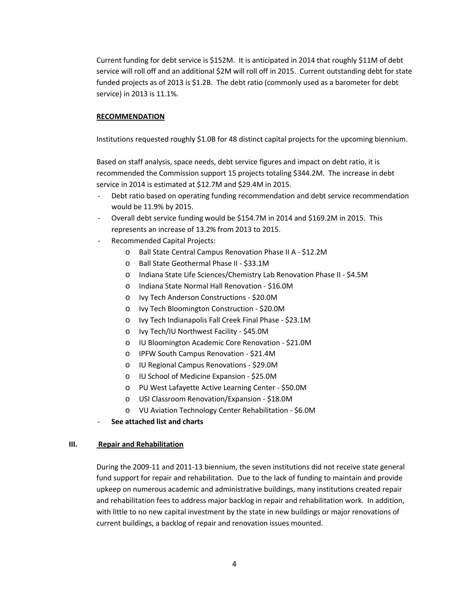Current funding for debt service is \$152M. It is anticipated in 2014 that roughly \$11M of debt service will roll off and an additional \$2M will roll off in 2015. Current outstanding debt for state funded projects as of 2013 is \$1.2B. The debt ratio (commonly used as a barometer for debt service) in 2013 is 11.1%.

#### **RECOMMENDATION**

Institutions requested roughly \$1.0B for 48 distinct capital projects for the upcoming biennium.

Based on staff analysis, space needs, debt service figures and impact on debt ratio, it is recommended the Commission support 15 projects totaling \$344.2M. The increase in debt service in 2014 is estimated at \$12.7M and \$29.4M in 2015.

- Debt ratio based on operating funding recommendation and debt service recommendation would be 11.9% by 2015.
- Overall debt service funding would be \$154.7M in 2014 and \$169.2M in 2015. This represents an increase of 13.2% from 2013 to 2015.
- Recommended Capital Projects:
	- o Ball State Central Campus Renovation Phase II A \$12.2M
	- o Ball State Geothermal Phase II \$33.1M
	- o Indiana State Life Sciences/Chemistry Lab Renovation Phase II \$4.5M
	- o Indiana State Normal Hall Renovation \$16.0M
	- o Ivy Tech Anderson Constructions \$20.0M
	- o Ivy Tech Bloomington Construction \$20.0M
	- o Ivy Tech Indianapolis Fall Creek Final Phase \$23.1M
	- o Ivy Tech/IU Northwest Facility \$45.0M
	- o IU Bloomington Academic Core Renovation \$21.0M
	- o IPFW South Campus Renovation \$21.4M
	- o IU Regional Campus Renovations \$29.0M
	- o IU School of Medicine Expansion \$25.0M
	- o PU West Lafayette Active Learning Center \$50.0M
	- o USI Classroom Renovation/Expansion \$18.0M
	- o VU Aviation Technology Center Rehabilitation \$6.0M
- **See attached list and charts**

#### **III. Repair and Rehabilitation**

During the 2009-11 and 2011-13 biennium, the seven institutions did not receive state general fund support for repair and rehabilitation. Due to the lack of funding to maintain and provide upkeep on numerous academic and administrative buildings, many institutions created repair and rehabilitation fees to address major backlog in repair and rehabilitation work. In addition, with little to no new capital investment by the state in new buildings or major renovations of current buildings, a backlog of repair and renovation issues mounted.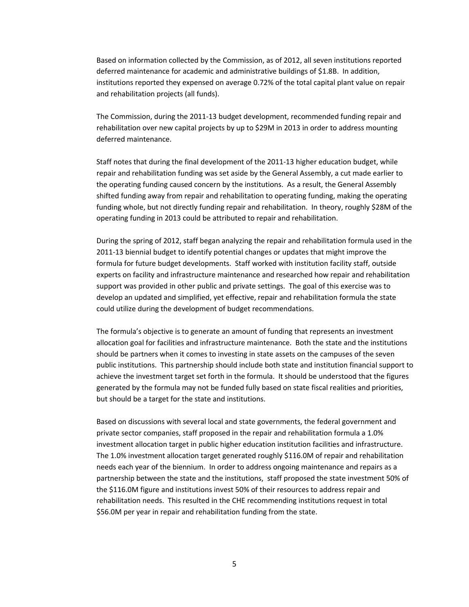Based on information collected by the Commission, as of 2012, all seven institutions reported deferred maintenance for academic and administrative buildings of \$1.8B. In addition, institutions reported they expensed on average 0.72% of the total capital plant value on repair and rehabilitation projects (all funds).

The Commission, during the 2011-13 budget development, recommended funding repair and rehabilitation over new capital projects by up to \$29M in 2013 in order to address mounting deferred maintenance.

Staff notes that during the final development of the 2011-13 higher education budget, while repair and rehabilitation funding was set aside by the General Assembly, a cut made earlier to the operating funding caused concern by the institutions. As a result, the General Assembly shifted funding away from repair and rehabilitation to operating funding, making the operating funding whole, but not directly funding repair and rehabilitation. In theory, roughly \$28M of the operating funding in 2013 could be attributed to repair and rehabilitation.

During the spring of 2012, staff began analyzing the repair and rehabilitation formula used in the 2011-13 biennial budget to identify potential changes or updates that might improve the formula for future budget developments. Staff worked with institution facility staff, outside experts on facility and infrastructure maintenance and researched how repair and rehabilitation support was provided in other public and private settings. The goal of this exercise was to develop an updated and simplified, yet effective, repair and rehabilitation formula the state could utilize during the development of budget recommendations.

The formula's objective is to generate an amount of funding that represents an investment allocation goal for facilities and infrastructure maintenance. Both the state and the institutions should be partners when it comes to investing in state assets on the campuses of the seven public institutions. This partnership should include both state and institution financial support to achieve the investment target set forth in the formula. It should be understood that the figures generated by the formula may not be funded fully based on state fiscal realities and priorities, but should be a target for the state and institutions.

Based on discussions with several local and state governments, the federal government and private sector companies, staff proposed in the repair and rehabilitation formula a 1.0% investment allocation target in public higher education institution facilities and infrastructure. The 1.0% investment allocation target generated roughly \$116.0M of repair and rehabilitation needs each year of the biennium. In order to address ongoing maintenance and repairs as a partnership between the state and the institutions, staff proposed the state investment 50% of the \$116.0M figure and institutions invest 50% of their resources to address repair and rehabilitation needs. This resulted in the CHE recommending institutions request in total \$56.0M per year in repair and rehabilitation funding from the state.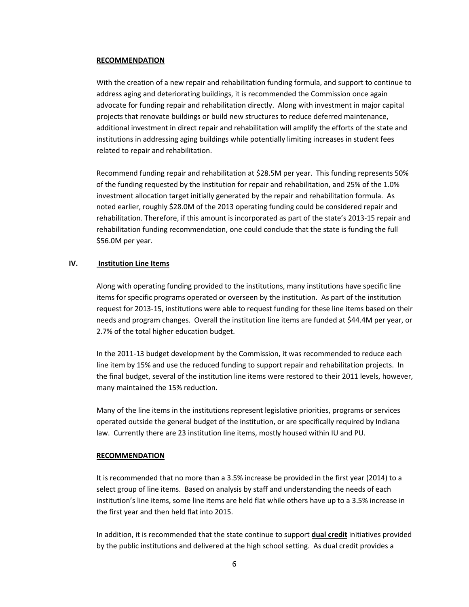#### **RECOMMENDATION**

With the creation of a new repair and rehabilitation funding formula, and support to continue to address aging and deteriorating buildings, it is recommended the Commission once again advocate for funding repair and rehabilitation directly. Along with investment in major capital projects that renovate buildings or build new structures to reduce deferred maintenance, additional investment in direct repair and rehabilitation will amplify the efforts of the state and institutions in addressing aging buildings while potentially limiting increases in student fees related to repair and rehabilitation.

Recommend funding repair and rehabilitation at \$28.5M per year. This funding represents 50% of the funding requested by the institution for repair and rehabilitation, and 25% of the 1.0% investment allocation target initially generated by the repair and rehabilitation formula. As noted earlier, roughly \$28.0M of the 2013 operating funding could be considered repair and rehabilitation. Therefore, if this amount is incorporated as part of the state's 2013-15 repair and rehabilitation funding recommendation, one could conclude that the state is funding the full \$56.0M per year.

### **IV. Institution Line Items**

Along with operating funding provided to the institutions, many institutions have specific line items for specific programs operated or overseen by the institution. As part of the institution request for 2013-15, institutions were able to request funding for these line items based on their needs and program changes. Overall the institution line items are funded at \$44.4M per year, or 2.7% of the total higher education budget.

In the 2011-13 budget development by the Commission, it was recommended to reduce each line item by 15% and use the reduced funding to support repair and rehabilitation projects. In the final budget, several of the institution line items were restored to their 2011 levels, however, many maintained the 15% reduction.

Many of the line items in the institutions represent legislative priorities, programs or services operated outside the general budget of the institution, or are specifically required by Indiana law. Currently there are 23 institution line items, mostly housed within IU and PU.

#### **RECOMMENDATION**

It is recommended that no more than a 3.5% increase be provided in the first year (2014) to a select group of line items. Based on analysis by staff and understanding the needs of each institution's line items, some line items are held flat while others have up to a 3.5% increase in the first year and then held flat into 2015.

In addition, it is recommended that the state continue to support **dual credit** initiatives provided by the public institutions and delivered at the high school setting. As dual credit provides a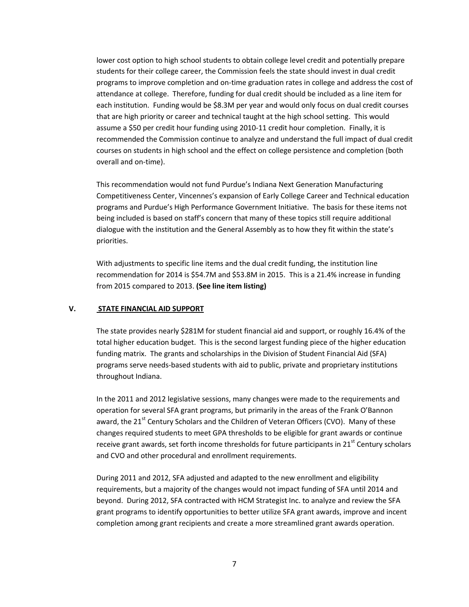lower cost option to high school students to obtain college level credit and potentially prepare students for their college career, the Commission feels the state should invest in dual credit programs to improve completion and on-time graduation rates in college and address the cost of attendance at college. Therefore, funding for dual credit should be included as a line item for each institution. Funding would be \$8.3M per year and would only focus on dual credit courses that are high priority or career and technical taught at the high school setting. This would assume a \$50 per credit hour funding using 2010-11 credit hour completion. Finally, it is recommended the Commission continue to analyze and understand the full impact of dual credit courses on students in high school and the effect on college persistence and completion (both overall and on-time).

This recommendation would not fund Purdue's Indiana Next Generation Manufacturing Competitiveness Center, Vincennes's expansion of Early College Career and Technical education programs and Purdue's High Performance Government Initiative. The basis for these items not being included is based on staff's concern that many of these topics still require additional dialogue with the institution and the General Assembly as to how they fit within the state's priorities.

With adjustments to specific line items and the dual credit funding, the institution line recommendation for 2014 is \$54.7M and \$53.8M in 2015. This is a 21.4% increase in funding from 2015 compared to 2013. **(See line item listing)**

#### **V. STATE FINANCIAL AID SUPPORT**

The state provides nearly \$281M for student financial aid and support, or roughly 16.4% of the total higher education budget. This is the second largest funding piece of the higher education funding matrix. The grants and scholarships in the Division of Student Financial Aid (SFA) programs serve needs-based students with aid to public, private and proprietary institutions throughout Indiana.

In the 2011 and 2012 legislative sessions, many changes were made to the requirements and operation for several SFA grant programs, but primarily in the areas of the Frank O'Bannon award, the 21<sup>st</sup> Century Scholars and the Children of Veteran Officers (CVO). Many of these changes required students to meet GPA thresholds to be eligible for grant awards or continue receive grant awards, set forth income thresholds for future participants in 21<sup>st</sup> Century scholars and CVO and other procedural and enrollment requirements.

During 2011 and 2012, SFA adjusted and adapted to the new enrollment and eligibility requirements, but a majority of the changes would not impact funding of SFA until 2014 and beyond. During 2012, SFA contracted with HCM Strategist Inc. to analyze and review the SFA grant programs to identify opportunities to better utilize SFA grant awards, improve and incent completion among grant recipients and create a more streamlined grant awards operation.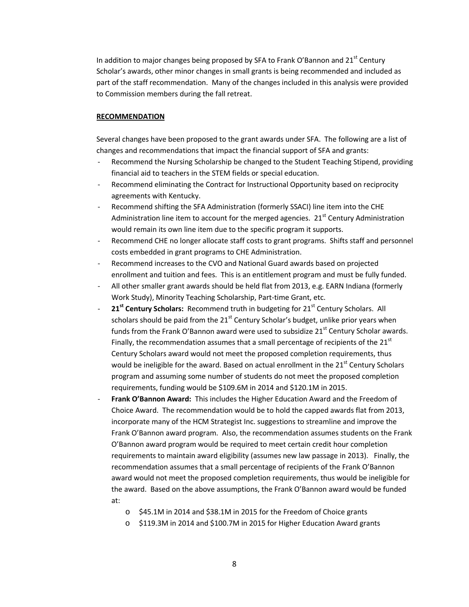In addition to major changes being proposed by SFA to Frank O'Bannon and  $21<sup>st</sup>$  Century Scholar's awards, other minor changes in small grants is being recommended and included as part of the staff recommendation. Many of the changes included in this analysis were provided to Commission members during the fall retreat.

#### **RECOMMENDATION**

Several changes have been proposed to the grant awards under SFA. The following are a list of changes and recommendations that impact the financial support of SFA and grants:

- Recommend the Nursing Scholarship be changed to the Student Teaching Stipend, providing financial aid to teachers in the STEM fields or special education.
- Recommend eliminating the Contract for Instructional Opportunity based on reciprocity agreements with Kentucky.
- Recommend shifting the SFA Administration (formerly SSACI) line item into the CHE Administration line item to account for the merged agencies.  $21<sup>st</sup>$  Century Administration would remain its own line item due to the specific program it supports.
- Recommend CHE no longer allocate staff costs to grant programs. Shifts staff and personnel costs embedded in grant programs to CHE Administration.
- Recommend increases to the CVO and National Guard awards based on projected enrollment and tuition and fees. This is an entitlement program and must be fully funded.
- All other smaller grant awards should be held flat from 2013, e.g. EARN Indiana (formerly Work Study), Minority Teaching Scholarship, Part-time Grant, etc.
- 21<sup>st</sup> Century Scholars: Recommend truth in budgeting for 21<sup>st</sup> Century Scholars. All scholars should be paid from the  $21<sup>st</sup>$  Century Scholar's budget, unlike prior years when funds from the Frank O'Bannon award were used to subsidize  $21<sup>st</sup>$  Century Scholar awards. Finally, the recommendation assumes that a small percentage of recipients of the 21 $^{\rm st}$ Century Scholars award would not meet the proposed completion requirements, thus would be ineligible for the award. Based on actual enrollment in the 21<sup>st</sup> Century Scholars program and assuming some number of students do not meet the proposed completion requirements, funding would be \$109.6M in 2014 and \$120.1M in 2015.
- Frank O'Bannon Award: This includes the Higher Education Award and the Freedom of Choice Award. The recommendation would be to hold the capped awards flat from 2013, incorporate many of the HCM Strategist Inc. suggestions to streamline and improve the Frank O'Bannon award program. Also, the recommendation assumes students on the Frank O'Bannon award program would be required to meet certain credit hour completion requirements to maintain award eligibility (assumes new law passage in 2013). Finally, the recommendation assumes that a small percentage of recipients of the Frank O'Bannon award would not meet the proposed completion requirements, thus would be ineligible for the award. Based on the above assumptions, the Frank O'Bannon award would be funded at:
	- o \$45.1M in 2014 and \$38.1M in 2015 for the Freedom of Choice grants
	- o \$119.3M in 2014 and \$100.7M in 2015 for Higher Education Award grants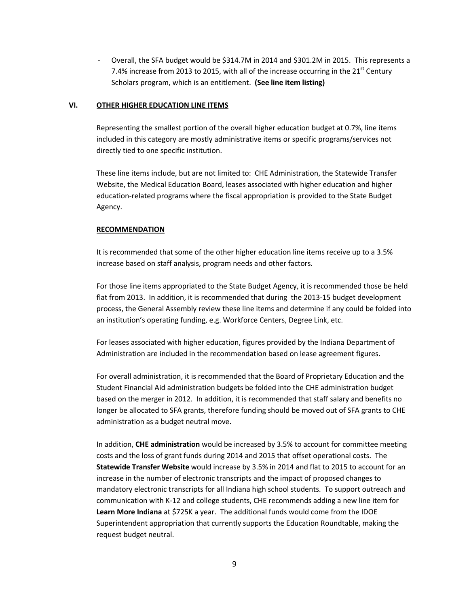- Overall, the SFA budget would be \$314.7M in 2014 and \$301.2M in 2015. This represents a 7.4% increase from 2013 to 2015, with all of the increase occurring in the  $21<sup>st</sup>$  Century Scholars program, which is an entitlement. **(See line item listing)**

#### **VI. OTHER HIGHER EDUCATION LINE ITEMS**

Representing the smallest portion of the overall higher education budget at 0.7%, line items included in this category are mostly administrative items or specific programs/services not directly tied to one specific institution.

These line items include, but are not limited to: CHE Administration, the Statewide Transfer Website, the Medical Education Board, leases associated with higher education and higher education-related programs where the fiscal appropriation is provided to the State Budget Agency.

#### **RECOMMENDATION**

It is recommended that some of the other higher education line items receive up to a 3.5% increase based on staff analysis, program needs and other factors.

For those line items appropriated to the State Budget Agency, it is recommended those be held flat from 2013. In addition, it is recommended that during the 2013-15 budget development process, the General Assembly review these line items and determine if any could be folded into an institution's operating funding, e.g. Workforce Centers, Degree Link, etc.

For leases associated with higher education, figures provided by the Indiana Department of Administration are included in the recommendation based on lease agreement figures.

For overall administration, it is recommended that the Board of Proprietary Education and the Student Financial Aid administration budgets be folded into the CHE administration budget based on the merger in 2012. In addition, it is recommended that staff salary and benefits no longer be allocated to SFA grants, therefore funding should be moved out of SFA grants to CHE administration as a budget neutral move.

In addition, **CHE administration** would be increased by 3.5% to account for committee meeting costs and the loss of grant funds during 2014 and 2015 that offset operational costs. The **Statewide Transfer Website** would increase by 3.5% in 2014 and flat to 2015 to account for an increase in the number of electronic transcripts and the impact of proposed changes to mandatory electronic transcripts for all Indiana high school students. To support outreach and communication with K-12 and college students, CHE recommends adding a new line item for **Learn More Indiana** at \$725K a year. The additional funds would come from the IDOE Superintendent appropriation that currently supports the Education Roundtable, making the request budget neutral.